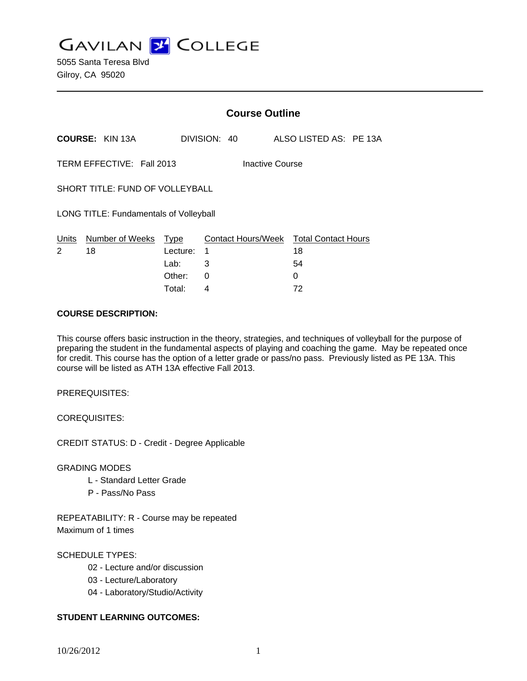**GAVILAN J COLLEGE** 

|                                              |                        | <b>Course Outline</b>           |              |  |                    |                                        |  |
|----------------------------------------------|------------------------|---------------------------------|--------------|--|--------------------|----------------------------------------|--|
|                                              | <b>COURSE: KIN 13A</b> |                                 | DIVISION: 40 |  |                    | ALSO LISTED AS: PE 13A                 |  |
| TERM EFFECTIVE: Fall 2013<br>Inactive Course |                        |                                 |              |  |                    |                                        |  |
| SHORT TITLE: FUND OF VOLLEYBALL              |                        |                                 |              |  |                    |                                        |  |
| LONG TITLE: Fundamentals of Volleyball       |                        |                                 |              |  |                    |                                        |  |
| Units<br>2                                   | Number of Weeks<br>18  | <b>Type</b><br>Lecture:<br>Lab: | 1<br>3       |  | Contact Hours/Week | <b>Total Contact Hours</b><br>18<br>54 |  |
|                                              |                        | Other:                          | 0            |  |                    | 0                                      |  |

Total: 4 72

### **COURSE DESCRIPTION:**

This course offers basic instruction in the theory, strategies, and techniques of volleyball for the purpose of preparing the student in the fundamental aspects of playing and coaching the game. May be repeated once for credit. This course has the option of a letter grade or pass/no pass. Previously listed as PE 13A. This course will be listed as ATH 13A effective Fall 2013.

PREREQUISITES:

COREQUISITES:

CREDIT STATUS: D - Credit - Degree Applicable

GRADING MODES

- L Standard Letter Grade
- P Pass/No Pass

REPEATABILITY: R - Course may be repeated Maximum of 1 times

# SCHEDULE TYPES:

- 02 Lecture and/or discussion
- 03 Lecture/Laboratory
- 04 Laboratory/Studio/Activity

# **STUDENT LEARNING OUTCOMES:**

10/26/2012 1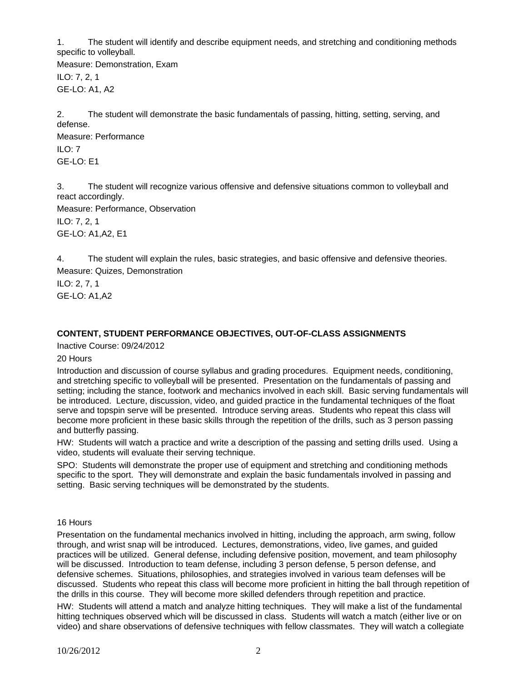1. The student will identify and describe equipment needs, and stretching and conditioning methods specific to volleyball.

Measure: Demonstration, Exam ILO: 7, 2, 1 GE-LO: A1, A2

2. The student will demonstrate the basic fundamentals of passing, hitting, setting, serving, and defense. Measure: Performance

ILO: 7 GE-LO: E1

3. The student will recognize various offensive and defensive situations common to volleyball and react accordingly.

Measure: Performance, Observation ILO: 7, 2, 1 GE-LO: A1,A2, E1

4. The student will explain the rules, basic strategies, and basic offensive and defensive theories. Measure: Quizes, Demonstration

ILO: 2, 7, 1 GE-LO: A1,A2

# **CONTENT, STUDENT PERFORMANCE OBJECTIVES, OUT-OF-CLASS ASSIGNMENTS**

Inactive Course: 09/24/2012

# 20 Hours

Introduction and discussion of course syllabus and grading procedures. Equipment needs, conditioning, and stretching specific to volleyball will be presented. Presentation on the fundamentals of passing and setting; including the stance, footwork and mechanics involved in each skill. Basic serving fundamentals will be introduced. Lecture, discussion, video, and guided practice in the fundamental techniques of the float serve and topspin serve will be presented. Introduce serving areas. Students who repeat this class will become more proficient in these basic skills through the repetition of the drills, such as 3 person passing and butterfly passing.

HW: Students will watch a practice and write a description of the passing and setting drills used. Using a video, students will evaluate their serving technique.

SPO: Students will demonstrate the proper use of equipment and stretching and conditioning methods specific to the sport. They will demonstrate and explain the basic fundamentals involved in passing and setting. Basic serving techniques will be demonstrated by the students.

16 Hours

Presentation on the fundamental mechanics involved in hitting, including the approach, arm swing, follow through, and wrist snap will be introduced. Lectures, demonstrations, video, live games, and guided practices will be utilized. General defense, including defensive position, movement, and team philosophy will be discussed. Introduction to team defense, including 3 person defense, 5 person defense, and defensive schemes. Situations, philosophies, and strategies involved in various team defenses will be discussed. Students who repeat this class will become more proficient in hitting the ball through repetition of the drills in this course. They will become more skilled defenders through repetition and practice.

HW: Students will attend a match and analyze hitting techniques. They will make a list of the fundamental hitting techniques observed which will be discussed in class. Students will watch a match (either live or on video) and share observations of defensive techniques with fellow classmates. They will watch a collegiate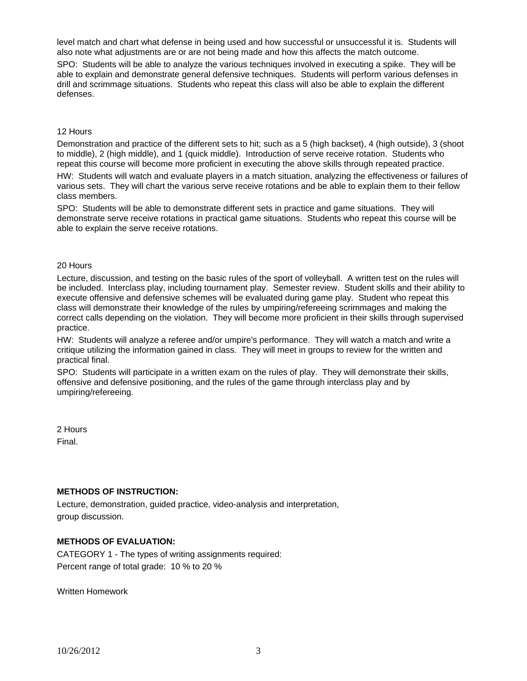level match and chart what defense in being used and how successful or unsuccessful it is. Students will also note what adjustments are or are not being made and how this affects the match outcome.

SPO: Students will be able to analyze the various techniques involved in executing a spike. They will be able to explain and demonstrate general defensive techniques. Students will perform various defenses in drill and scrimmage situations. Students who repeat this class will also be able to explain the different defenses.

#### 12 Hours

Demonstration and practice of the different sets to hit; such as a 5 (high backset), 4 (high outside), 3 (shoot to middle), 2 (high middle), and 1 (quick middle). Introduction of serve receive rotation. Students who repeat this course will become more proficient in executing the above skills through repeated practice.

HW: Students will watch and evaluate players in a match situation, analyzing the effectiveness or failures of various sets. They will chart the various serve receive rotations and be able to explain them to their fellow class members.

SPO: Students will be able to demonstrate different sets in practice and game situations. They will demonstrate serve receive rotations in practical game situations. Students who repeat this course will be able to explain the serve receive rotations.

#### 20 Hours

Lecture, discussion, and testing on the basic rules of the sport of volleyball. A written test on the rules will be included. Interclass play, including tournament play. Semester review. Student skills and their ability to execute offensive and defensive schemes will be evaluated during game play. Student who repeat this class will demonstrate their knowledge of the rules by umpiring/refereeing scrimmages and making the correct calls depending on the violation. They will become more proficient in their skills through supervised practice.

HW: Students will analyze a referee and/or umpire's performance. They will watch a match and write a critique utilizing the information gained in class. They will meet in groups to review for the written and practical final.

SPO: Students will participate in a written exam on the rules of play. They will demonstrate their skills, offensive and defensive positioning, and the rules of the game through interclass play and by umpiring/refereeing.

2 Hours Final.

### **METHODS OF INSTRUCTION:**

Lecture, demonstration, guided practice, video-analysis and interpretation, group discussion.

### **METHODS OF EVALUATION:**

CATEGORY 1 - The types of writing assignments required: Percent range of total grade: 10 % to 20 %

Written Homework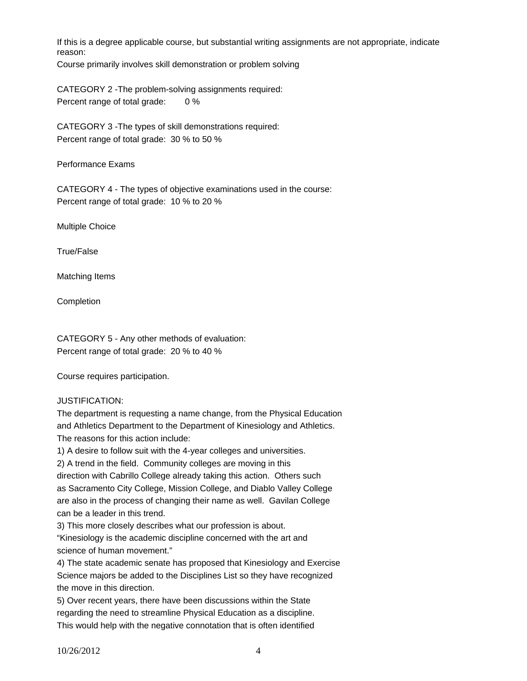If this is a degree applicable course, but substantial writing assignments are not appropriate, indicate reason:

Course primarily involves skill demonstration or problem solving

CATEGORY 2 -The problem-solving assignments required: Percent range of total grade: 0 %

CATEGORY 3 -The types of skill demonstrations required: Percent range of total grade: 30 % to 50 %

Performance Exams

CATEGORY 4 - The types of objective examinations used in the course: Percent range of total grade: 10 % to 20 %

Multiple Choice

True/False

Matching Items

Completion

CATEGORY 5 - Any other methods of evaluation: Percent range of total grade: 20 % to 40 %

Course requires participation.

JUSTIFICATION:

The department is requesting a name change, from the Physical Education and Athletics Department to the Department of Kinesiology and Athletics. The reasons for this action include:

1) A desire to follow suit with the 4-year colleges and universities.

2) A trend in the field. Community colleges are moving in this

direction with Cabrillo College already taking this action. Others such as Sacramento City College, Mission College, and Diablo Valley College are also in the process of changing their name as well. Gavilan College can be a leader in this trend.

3) This more closely describes what our profession is about.

"Kinesiology is the academic discipline concerned with the art and science of human movement."

4) The state academic senate has proposed that Kinesiology and Exercise Science majors be added to the Disciplines List so they have recognized the move in this direction.

5) Over recent years, there have been discussions within the State regarding the need to streamline Physical Education as a discipline. This would help with the negative connotation that is often identified